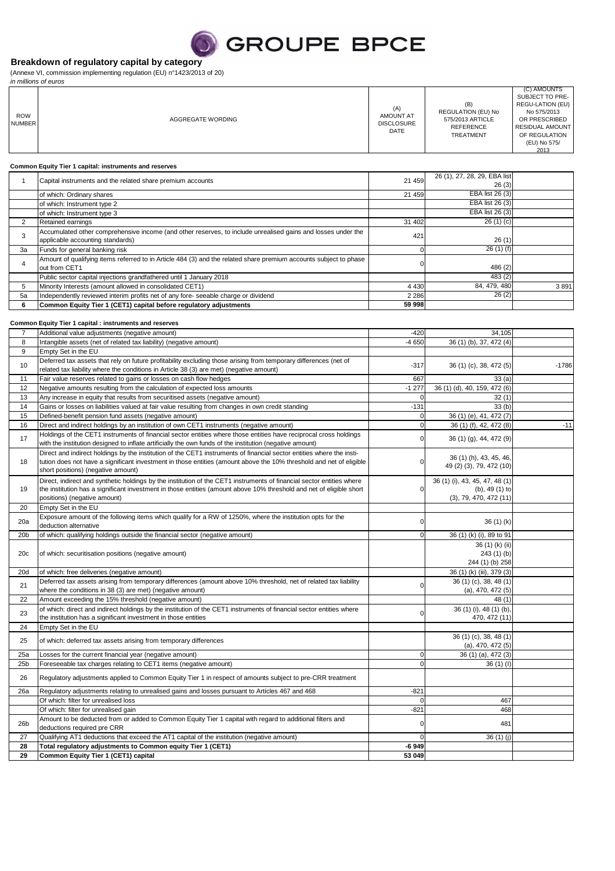## **SEROUPE BPCE**

### **Breakdown of regulatory capital by category**

(Annexe VI, commission implementing regulation (EU) n°1423/2013 of 20) in millions of euros

| <b>ROW</b><br><b>NUMBER</b> | AGGREGATE WORDING                                                                                                                                                                                                                                                                  | (A)<br>AMOUNT AT<br><b>DISCLOSURE</b><br>DATE | (B)<br>REGULATION (EU) No<br>575/2013 ARTICLE<br><b>REFERENCE</b><br><b>TREATMENT</b> | (C) AMOUNTS<br>SUBJECT TO PRE-<br>REGU-LATION (EU)<br>No 575/2013<br>OR PRESCRIBED<br>RESIDUAL AMOUNT<br>OF REGULATION<br>(EU) No 575/<br>2013 |
|-----------------------------|------------------------------------------------------------------------------------------------------------------------------------------------------------------------------------------------------------------------------------------------------------------------------------|-----------------------------------------------|---------------------------------------------------------------------------------------|------------------------------------------------------------------------------------------------------------------------------------------------|
|                             | Common Equity Tier 1 capital: instruments and reserves                                                                                                                                                                                                                             |                                               |                                                                                       |                                                                                                                                                |
| $\mathbf{1}$                | Capital instruments and the related share premium accounts                                                                                                                                                                                                                         | 21 459                                        | 26 (1), 27, 28, 29, EBA list<br>26(3)                                                 |                                                                                                                                                |
|                             | of which: Ordinary shares                                                                                                                                                                                                                                                          | 21 459                                        | EBA list 26 (3)                                                                       |                                                                                                                                                |
|                             | of which: Instrument type 2                                                                                                                                                                                                                                                        |                                               | EBA list 26 (3)                                                                       |                                                                                                                                                |
| $\overline{2}$              | of which: Instrument type 3<br>Retained earnings                                                                                                                                                                                                                                   | 31 402                                        | EBA list 26 (3)<br>26(1)(c)                                                           |                                                                                                                                                |
|                             | Accumulated other comprehensive income (and other reserves, to include unrealised gains and losses under the                                                                                                                                                                       |                                               |                                                                                       |                                                                                                                                                |
| 3                           | applicable accounting standards)                                                                                                                                                                                                                                                   | 421                                           | 26(1)                                                                                 |                                                                                                                                                |
| 3a                          | Funds for general banking risk                                                                                                                                                                                                                                                     | 0                                             | 26(1)(f)                                                                              |                                                                                                                                                |
| $\overline{4}$              | Amount of qualifying items referred to in Article 484 (3) and the related share premium accounts subject to phase<br>out from CET1                                                                                                                                                 | $\Omega$                                      | 486 (2)                                                                               |                                                                                                                                                |
|                             | Public sector capital injections grandfathered until 1 January 2018                                                                                                                                                                                                                |                                               | 483(2)                                                                                |                                                                                                                                                |
| 5                           | Minority Interests (amount allowed in consolidated CET1)                                                                                                                                                                                                                           | 4 4 3 0                                       | 84, 479, 480                                                                          | 3891                                                                                                                                           |
| 5a<br>6                     | Independently reviewed interim profits net of any fore- seeable charge or dividend<br>Common Equity Tier 1 (CET1) capital before regulatory adjustments                                                                                                                            | 2 2 8 6<br>59 998                             | 26(2)                                                                                 |                                                                                                                                                |
|                             |                                                                                                                                                                                                                                                                                    |                                               |                                                                                       |                                                                                                                                                |
|                             | Common Equity Tier 1 capital : instruments and reserves                                                                                                                                                                                                                            |                                               |                                                                                       |                                                                                                                                                |
| 7                           | Additional value adjustments (negative amount)                                                                                                                                                                                                                                     | $-420$                                        | 34,105                                                                                |                                                                                                                                                |
| 8<br>9                      | Intangible assets (net of related tax liability) (negative amount)<br>Empty Set in the EU                                                                                                                                                                                          | $-4650$                                       | 36 (1) (b), 37, 472 (4)                                                               |                                                                                                                                                |
|                             | Deferred tax assets that rely on future profitability excluding those arising from temporary differences (net of                                                                                                                                                                   |                                               |                                                                                       |                                                                                                                                                |
| 10                          | related tax liability where the conditions in Article 38 (3) are met) (negative amount)                                                                                                                                                                                            | $-317$                                        | 36 (1) (c), 38, 472 (5)                                                               | $-1786$                                                                                                                                        |
| 11                          | Fair value reserves related to gains or losses on cash flow hedges                                                                                                                                                                                                                 | 667                                           | 33(a)                                                                                 |                                                                                                                                                |
| 12<br>13                    | Negative amounts resulting from the calculation of expected loss amounts<br>Any increase in equity that results from securitised assets (negative amount)                                                                                                                          | $-1277$<br>$\mathbf 0$                        | 36 (1) (d), 40, 159, 472 (6)<br>32(1)                                                 |                                                                                                                                                |
| 14                          | Gains or losses on liabilities valued at fair value resulting from changes in own credit standing                                                                                                                                                                                  | $-131$                                        | 33(b)                                                                                 |                                                                                                                                                |
| 15                          | Defined-benefit pension fund assets (negative amount)                                                                                                                                                                                                                              | $\mathbf 0$                                   | 36 (1) (e), 41, 472 (7)                                                               |                                                                                                                                                |
| 16                          | Direct and indirect holdings by an institution of own CET1 instruments (negative amount)                                                                                                                                                                                           | $\mathbf 0$                                   | 36 (1) (f), 42, 472 (8)                                                               | $-11$                                                                                                                                          |
| 17                          | Holdings of the CET1 instruments of financial sector entities where those entities have reciprocal cross holdings<br>with the institution designed to inflate artificially the own funds of the institution (negative amount)                                                      | $\Omega$                                      | 36 (1) (g), 44, 472 (9)                                                               |                                                                                                                                                |
| 18                          | Direct and indirect holdings by the institution of the CET1 instruments of financial sector entities where the insti-<br>tution does not have a significant investment in those entities (amount above the 10% threshold and net of eligible<br>short positions) (negative amount) | $\Omega$                                      | 36 (1) (h), 43, 45, 46,<br>49 (2) (3), 79, 472 (10)                                   |                                                                                                                                                |
| 19                          | Direct, indirect and synthetic holdings by the institution of the CET1 instruments of financial sector entities where<br>the institution has a significant investment in those entities (amount above 10% threshold and net of eligible short<br>positions) (negative amount)      | 0                                             | 36 (1) (i), 43, 45, 47, 48 (1)<br>(b), 49 (1) to<br>(3), 79, 470, 472(11)             |                                                                                                                                                |
| 20                          | Empty Set in the EU                                                                                                                                                                                                                                                                |                                               |                                                                                       |                                                                                                                                                |
| 20a                         | Exposure amount of the following items which qualify for a RW of 1250%, where the institution opts for the<br>deduction alternative                                                                                                                                                |                                               | 36 (1) (k)                                                                            |                                                                                                                                                |
| 20 <sub>b</sub>             | of which: qualifying holdings outside the financial sector (negative amount)                                                                                                                                                                                                       | $\Omega$                                      | 36 (1) (k) (i), 89 to 91                                                              |                                                                                                                                                |
| 20c                         | of which: securitisation positions (negative amount)                                                                                                                                                                                                                               |                                               | 36 (1) (k) (ii)<br>243(1)(b)<br>244 (1) (b) 258                                       |                                                                                                                                                |
| 20d                         | of which: free deliveries (negative amount)                                                                                                                                                                                                                                        |                                               | 36 (1) (k) (iii), 379 (3)                                                             |                                                                                                                                                |
| 21                          | Deferred tax assets arising from temporary differences (amount above 10% threshold, net of related tax liability                                                                                                                                                                   | U                                             | 36 (1) (c), 38, 48 (1)<br>(a), 470, 472(5)                                            |                                                                                                                                                |
| 22                          | where the conditions in 38 (3) are met) (negative amount)<br>Amount exceeding the 15% threshold (negative amount)                                                                                                                                                                  |                                               | 48 (1)                                                                                |                                                                                                                                                |
| 23                          | of which: direct and indirect holdings by the institution of the CET1 instruments of financial sector entities where                                                                                                                                                               |                                               | 36 (1) (i), 48 (1) (b),                                                               |                                                                                                                                                |
|                             | the institution has a significant investment in those entities                                                                                                                                                                                                                     |                                               | 470, 472 (11)                                                                         |                                                                                                                                                |
| 24                          | Empty Set in the EU                                                                                                                                                                                                                                                                |                                               | 36 (1) (c), 38, 48 (1)                                                                |                                                                                                                                                |
| 25                          | of which: deferred tax assets arising from temporary differences                                                                                                                                                                                                                   |                                               | $(a)$ , 470, 472 $(5)$                                                                |                                                                                                                                                |
| 25a                         | Losses for the current financial year (negative amount)                                                                                                                                                                                                                            | 0                                             | 36 (1) (a), 472 (3)                                                                   |                                                                                                                                                |
| 25 <sub>b</sub><br>26       | Foreseeable tax charges relating to CET1 items (negative amount)<br>Requlatory adjustments applied to Common Equity Tier 1 in respect of amounts subject to pre-CRR treatment                                                                                                      | 0                                             | 36(1)(1)                                                                              |                                                                                                                                                |
|                             |                                                                                                                                                                                                                                                                                    |                                               |                                                                                       |                                                                                                                                                |
| 26a                         | Regulatory adjustments relating to unrealised gains and losses pursuant to Articles 467 and 468<br>Of which: filter for unrealised loss                                                                                                                                            | $-821$<br>$\Omega$                            | 467                                                                                   |                                                                                                                                                |
|                             | Of which: filter for unrealised gain                                                                                                                                                                                                                                               | $-821$                                        | 468                                                                                   |                                                                                                                                                |
| 26 <sub>b</sub>             | Amount to be deducted from or added to Common Equity Tier 1 capital with regard to additional filters and<br>deductions required pre CRR                                                                                                                                           | 0                                             | 481                                                                                   |                                                                                                                                                |
| 27                          | Qualifying AT1 deductions that exceed the AT1 capital of the institution (negative amount)                                                                                                                                                                                         | $\Omega$                                      | 36 (1) (j)                                                                            |                                                                                                                                                |
| 28<br>29                    | Total regulatory adjustments to Common equity Tier 1 (CET1)<br>Common Equity Tier 1 (CET1) capital                                                                                                                                                                                 | $-6949$<br>53 049                             |                                                                                       |                                                                                                                                                |
|                             |                                                                                                                                                                                                                                                                                    |                                               |                                                                                       |                                                                                                                                                |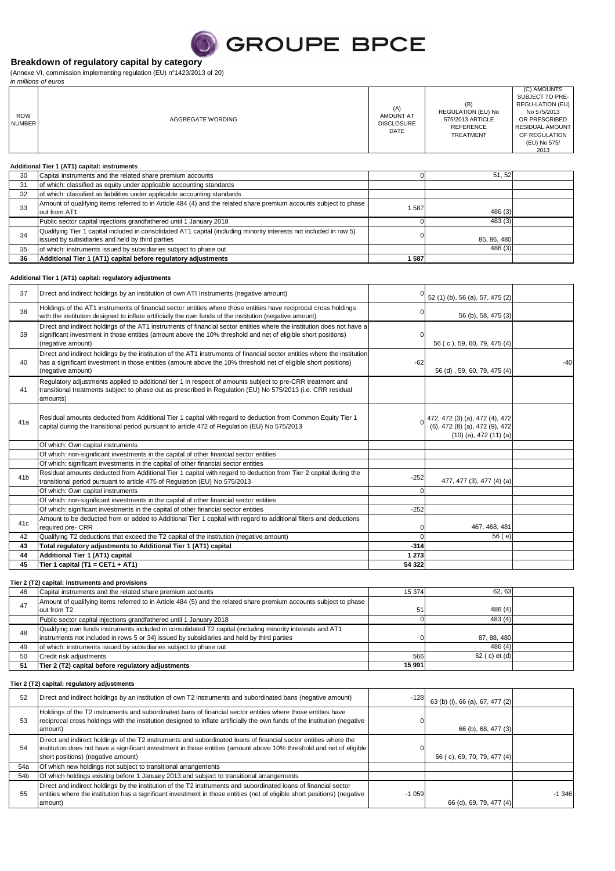## **GROUPE BPCE**

### **Breakdown of regulatory capital by category**

(Annexe VI, commission implementing regulation (EU) n°1423/2013 of 20)

|                             | in millions of euros                                                                                                                                                    |                                                      |                                                                                              |                                                                                                                                                |
|-----------------------------|-------------------------------------------------------------------------------------------------------------------------------------------------------------------------|------------------------------------------------------|----------------------------------------------------------------------------------------------|------------------------------------------------------------------------------------------------------------------------------------------------|
| <b>ROW</b><br><b>NUMBER</b> | AGGREGATE WORDING                                                                                                                                                       | (A)<br><b>AMOUNT AT</b><br><b>DISCLOSURE</b><br>DATE | (B)<br><b>REGULATION (EU) No</b><br>575/2013 ARTICLE<br><b>REFERENCE</b><br><b>TREATMENT</b> | (C) AMOUNTS<br>SUBJECT TO PRE-<br>REGU-LATION (EU)<br>No 575/2013<br>OR PRESCRIBED<br>RESIDUAL AMOUNT<br>OF REGULATION<br>(EU) No 575/<br>2013 |
|                             | Additional Tier 1 (AT1) capital: instruments                                                                                                                            |                                                      |                                                                                              |                                                                                                                                                |
| 30                          | Capital instruments and the related share premium accounts                                                                                                              |                                                      | 51, 52                                                                                       |                                                                                                                                                |
| 31                          | of which: classified as equity under applicable accounting standards                                                                                                    |                                                      |                                                                                              |                                                                                                                                                |
| 32                          | of which: classified as liabilities under applicable accounting standards                                                                                               |                                                      |                                                                                              |                                                                                                                                                |
| 33                          | Amount of qualifying items referred to in Article 484 (4) and the related share premium accounts subject to phase<br>out from AT1                                       | 1587                                                 | 486 (3)                                                                                      |                                                                                                                                                |
|                             | Public sector capital injections grandfathered until 1 January 2018                                                                                                     |                                                      | 483 (3)                                                                                      |                                                                                                                                                |
| 34                          | Qualifying Tier 1 capital included in consolidated AT1 capital (including minority interests not included in row 5)<br>issued by subsidiaries and held by third parties |                                                      | 85, 86, 480                                                                                  |                                                                                                                                                |
| 35                          | of which: instruments issued by subsidiaries subject to phase out                                                                                                       |                                                      | 486 (3)                                                                                      |                                                                                                                                                |
| 36                          | Additional Tier 1 (AT1) capital before regulatory adjustments                                                                                                           | 1587                                                 |                                                                                              |                                                                                                                                                |

#### **Additional Tier 1 (AT1) capital: regulatory adjustments**

| 37              | Direct and indirect holdings by an institution of own ATI Instruments (negative amount)                                                                                                                                                                           |          | 52 (1) (b), 56 (a), 57, 475 (2)                                                                |       |
|-----------------|-------------------------------------------------------------------------------------------------------------------------------------------------------------------------------------------------------------------------------------------------------------------|----------|------------------------------------------------------------------------------------------------|-------|
| 38              | Holdings of the AT1 instruments of financial sector entities where those entities have reciprocal cross holdings<br>with the institution designed to inflate artificially the own funds of the institution (negative amount)                                      |          | 56 (b), 58, 475 (3)                                                                            |       |
| 39              | Direct and indirect holdings of the AT1 instruments of financial sector entities where the institution does not have a<br>significant investment in those entities (amount above the 10% threshold and net of eligible short positions)<br>(negative amount)      | 0        | 56 (c), 59, 60, 79, 475 (4)                                                                    |       |
| 40              | Direct and indirect holdings by the institution of the AT1 instruments of financial sector entities where the institution<br>has a significant investment in those entities (amount above the 10% threshold net of eligible short positions)<br>(negative amount) | $-62$    | 56 (d), 59, 60, 79, 475 (4)                                                                    | $-40$ |
| 41              | Regulatory adjustments applied to additional tier 1 in respect of amounts subject to pre-CRR treatment and<br>transitional treatments subject to phase out as prescribed in Requlation (EU) No 575/2013 (i.e. CRR residual<br>amounts)                            |          |                                                                                                |       |
| 41a             | Residual amounts deducted from Additional Tier 1 capital with regard to deduction from Common Equity Tier 1<br>capital during the transitional period pursuant to article 472 of Regulation (EU) No 575/2013                                                      |          | 472, 472 (3) (a), 472 (4), 472<br>(6), 472 (8) (a), 472 (9), 472<br>$(10)$ (a), 472 $(11)$ (a) |       |
|                 | Of which: Own capital instruments                                                                                                                                                                                                                                 |          |                                                                                                |       |
|                 | Of which: non-significant investments in the capital of other financial sector entities                                                                                                                                                                           |          |                                                                                                |       |
|                 | Of which: significant investments in the capital of other financial sector entities                                                                                                                                                                               |          |                                                                                                |       |
| 41 <sub>b</sub> | Residual amounts deducted from Additional Tier 1 capital with regard to deduction from Tier 2 capital during the<br>transitional period pursuant to article 475 of Regulation (EU) No 575/2013                                                                    | $-252$   | 477, 477 (3), 477 (4) (a)                                                                      |       |
|                 | Of which: Own capital instruments                                                                                                                                                                                                                                 | $\Omega$ |                                                                                                |       |
|                 | Of which: non-significant investments in the capital of other financial sector entities                                                                                                                                                                           |          |                                                                                                |       |
|                 | Of which: significant investments in the capital of other financial sector entities                                                                                                                                                                               | $-252$   |                                                                                                |       |
| 41c             | Amount to be deducted from or added to Additional Tier 1 capital with regard to additional filters and deductions<br>required pre- CRR                                                                                                                            | n        | 467, 468, 481                                                                                  |       |
| 42              | Qualifying T2 deductions that exceed the T2 capital of the institution (negative amount)                                                                                                                                                                          |          | 56 (e)                                                                                         |       |
| 43              | Total regulatory adjustments to Additional Tier 1 (AT1) capital                                                                                                                                                                                                   | $-314$   |                                                                                                |       |
| 44              | Additional Tier 1 (AT1) capital                                                                                                                                                                                                                                   | 1 2 7 3  |                                                                                                |       |
| 45              | Tier 1 capital (T1 = CET1 + AT1)                                                                                                                                                                                                                                  | 54 322   |                                                                                                |       |

**Tier 2 (T2) capital: instruments and provisions**

| 46  | Capital instruments and the related share premium accounts                                                                                                                                               | 15 374 | 62.63          |  |
|-----|----------------------------------------------------------------------------------------------------------------------------------------------------------------------------------------------------------|--------|----------------|--|
| 47  | Amount of qualifying items referred to in Article 484 (5) and the related share premium accounts subject to phase<br>out from T2                                                                         | 51     | 486(4)         |  |
|     | Public sector capital injections grandfathered until 1 January 2018                                                                                                                                      |        | 483(4)         |  |
| 48  | Qualifying own funds instruments included in consolidated T2 capital (including minority interests and AT1<br>instruments not included in rows 5 or 34) issued by subsidiaries and held by third parties |        | 87, 88, 480    |  |
| 49  | of which: instruments issued by subsidiaries subject to phase out                                                                                                                                        |        | 486(4)         |  |
| 50  | Credit risk adjustments                                                                                                                                                                                  | 566    | 62 ( c) et (d) |  |
| -51 | Tier 2 (T2) capital before regulatory adjustments                                                                                                                                                        | 15 991 |                |  |

#### **Tier 2 (T2) capital: regulatory adjustments**

| 52              | Direct and indirect holdings by an institution of own T2 instruments and subordinated bans (negative amount)                                                                                                                                                                   | $-128$  | 63 (b) (i), 66 (a), 67, 477 (2) |          |
|-----------------|--------------------------------------------------------------------------------------------------------------------------------------------------------------------------------------------------------------------------------------------------------------------------------|---------|---------------------------------|----------|
| 53              | Holdings of the T2 instruments and subordinated bans of financial sector entities where those entities have<br>reciprocal cross holdings with the institution designed to inflate artificially the own funds of the institution (negative<br>amount)                           |         | 66 (b), 68, 477 (3)             |          |
| 54              | Direct and indirect holdings of the T2 instruments and subordinated loans of financial sector entities where the<br>institution does not have a significant investment in those entities (amount above 10% threshold and net of eligible<br>short positions) (negative amount) |         | 66 (c), 69, 70, 79, 477 (4)     |          |
| 54a             | Of which new holdings not subject to transitional arrangements                                                                                                                                                                                                                 |         |                                 |          |
| 54 <sub>b</sub> | Of which holdings existing before 1 January 2013 and subject to transitional arrangements                                                                                                                                                                                      |         |                                 |          |
| 55              | Direct and indirect holdings by the institution of the T2 instruments and subordinated loans of financial sector<br>entities where the institution has a significant investment in those entities (net of eligible short positions) (negative<br>amount)                       | $-1059$ | 66 (d), 69, 79, 477 (4)         | $-1.346$ |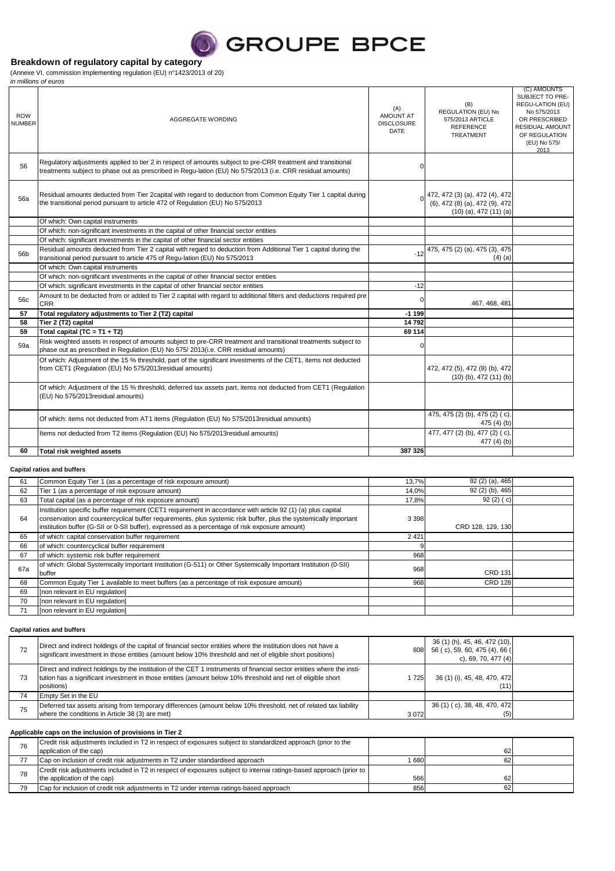## **SEROUPE BPCE**

### **Breakdown of regulatory capital by category**

(Annexe VI, commission implementing regulation (EU) n°1423/2013 of 20)

|                             | in millions of euros                                                                                                                                                                                                      |                                                      |                                                                                                |                                                                                                                                                       |
|-----------------------------|---------------------------------------------------------------------------------------------------------------------------------------------------------------------------------------------------------------------------|------------------------------------------------------|------------------------------------------------------------------------------------------------|-------------------------------------------------------------------------------------------------------------------------------------------------------|
| <b>ROW</b><br><b>NUMBER</b> | AGGREGATE WORDING                                                                                                                                                                                                         | (A)<br><b>AMOUNT AT</b><br><b>DISCLOSURE</b><br>DATE | (B)<br>REGULATION (EU) No<br>575/2013 ARTICLE<br><b>REFERENCE</b><br><b>TREATMENT</b>          | (C) AMOUNTS<br>SUBJECT TO PRE-<br>REGU-LATION (EU)<br>No 575/2013<br>OR PRESCRIBED<br><b>RESIDUAL AMOUNT</b><br>OF REGULATION<br>(EU) No 575/<br>2013 |
| 56                          | Regulatory adjustments applied to tier 2 in respect of amounts subject to pre-CRR treatment and transitional<br>treatments subject to phase out as prescribed in Regu-lation (EU) No 575/2013 (i.e. CRR residual amounts) |                                                      |                                                                                                |                                                                                                                                                       |
| 56a                         | Residual amounts deducted from Tier 2capital with regard to deduction from Common Equity Tier 1 capital during<br>the transitional period pursuant to article 472 of Regulation (EU) No 575/2013                          |                                                      | 472, 472 (3) (a), 472 (4), 472<br>(6), 472 (8) (a), 472 (9), 472<br>$(10)$ (a), 472 $(11)$ (a) |                                                                                                                                                       |
|                             | Of which: Own capital instruments                                                                                                                                                                                         |                                                      |                                                                                                |                                                                                                                                                       |
|                             | Of which: non-significant investments in the capital of other financial sector entities                                                                                                                                   |                                                      |                                                                                                |                                                                                                                                                       |
|                             | Of which: significant investments in the capital of other financial sector entities                                                                                                                                       |                                                      |                                                                                                |                                                                                                                                                       |
| 56b                         | Residual amounts deducted from Tier 2 capital with regard to deduction from Additional Tier 1 capital during the<br>transitional period pursuant to article 475 of Regu-lation (EU) No 575/2013                           | $-12$                                                | 475, 475 (2) (a), 475 (3), 475<br>$(4)$ (a)                                                    |                                                                                                                                                       |
|                             | Of which: Own capital instruments                                                                                                                                                                                         |                                                      |                                                                                                |                                                                                                                                                       |
|                             | Of which: non-significant investments in the capital of other financial sector entities                                                                                                                                   |                                                      |                                                                                                |                                                                                                                                                       |
|                             | Of which: significant investments in the capital of other financial sector entities                                                                                                                                       | $-12$                                                |                                                                                                |                                                                                                                                                       |
| 56c                         | Amount to be deducted from or added to Tier 2 capital with regard to additional filters and deductions required pre<br><b>CRR</b>                                                                                         |                                                      | 467, 468, 481                                                                                  |                                                                                                                                                       |
| 57                          | Total regulatory adjustments to Tier 2 (T2) capital                                                                                                                                                                       | $-1199$                                              |                                                                                                |                                                                                                                                                       |
| 58                          | Tier 2 (T2) capital                                                                                                                                                                                                       | 14792                                                |                                                                                                |                                                                                                                                                       |
| 59                          | Total capital $(TC = T1 + T2)$                                                                                                                                                                                            | 69 114                                               |                                                                                                |                                                                                                                                                       |
| 59a                         | Risk weighted assets in respect of amounts subject to pre-CRR treatment and transitional treatments subject to<br>phase out as prescribed in Regulation (EU) No 575/2013(i.e. CRR residual amounts)                       |                                                      |                                                                                                |                                                                                                                                                       |
|                             | Of which: Adjustment of the 15 % threshold, part of the significant investments of the CET1, items not deducted<br>from CET1 (Requlation (EU) No 575/2013 residual amounts)                                               |                                                      | 472, 472 (5), 472 (8) (b), 472<br>$(10)$ (b), 472 $(11)$ (b)                                   |                                                                                                                                                       |
|                             | Of which: Adjustment of the 15 % threshold, deferred tax assets part, items not deducted from CET1 (Regulation<br>(EU) No 575/2013 residual amounts)                                                                      |                                                      |                                                                                                |                                                                                                                                                       |
|                             | Of which: items not deducted from AT1 items (Regulation (EU) No 575/2013 residual amounts)                                                                                                                                |                                                      | 475, 475 (2) (b), 475 (2) (c),<br>475 $(4)$ $(b)$                                              |                                                                                                                                                       |
|                             | Items not deducted from T2 items (Regulation (EU) No 575/2013 residual amounts)                                                                                                                                           |                                                      | 477, 477 (2) (b), 477 (2) (c),<br>477 (4) (b)                                                  |                                                                                                                                                       |
| 60                          | Total risk weighted assets                                                                                                                                                                                                | 387 326                                              |                                                                                                |                                                                                                                                                       |

#### **Capital ratios and buffers**

| 61  | Common Equity Tier 1 (as a percentage of risk exposure amount)                                                                                                                                                                                                                                                                     | 13,7%   | 92 (2) (a), 465   |  |
|-----|------------------------------------------------------------------------------------------------------------------------------------------------------------------------------------------------------------------------------------------------------------------------------------------------------------------------------------|---------|-------------------|--|
| 62  | Tier 1 (as a percentage of risk exposure amount)                                                                                                                                                                                                                                                                                   | 14,0%   | 92 (2) (b), 465   |  |
| 63  | Total capital (as a percentage of risk exposure amount)                                                                                                                                                                                                                                                                            | 17,8%   | 92(2)(c)          |  |
| 64  | Institution specific buffer requirement (CET1 requirement in accordance with article 92 (1) (a) plus capital<br>conservation and countercyclical buffer requirements, plus systemic risk buffer, plus the systemically important<br>institution buffer (G-SII or 0-SII buffer), expressed as a percentage of risk exposure amount) | 3 3 9 8 | CRD 128, 129, 130 |  |
| 65  | of which: capital conservation buffer requirement                                                                                                                                                                                                                                                                                  | 2421    |                   |  |
| 66  | of which: countercyclical buffer requirement                                                                                                                                                                                                                                                                                       |         |                   |  |
| 67  | of which: systemic risk buffer requirement                                                                                                                                                                                                                                                                                         | 968     |                   |  |
| 67a | of which: Global Systemically Important Institution (G-511) or Other Systemically Important Institution (0-SII)<br>buffer                                                                                                                                                                                                          | 968     | <b>CRD 131</b>    |  |
| 68  | Common Equity Tier 1 available to meet buffers (as a percentage of risk exposure amount)                                                                                                                                                                                                                                           | 968     | <b>CRD 128</b>    |  |
| 69  | [non relevant in EU regulation]                                                                                                                                                                                                                                                                                                    |         |                   |  |
| 70  | [non relevant in EU regulation]                                                                                                                                                                                                                                                                                                    |         |                   |  |
| 71  | [non relevant in EU regulation]                                                                                                                                                                                                                                                                                                    |         |                   |  |

#### **Capital ratios and buffers**

| 72 | Direct and indirect holdings of the capital of financial sector entities where the institution does not have a<br>significant investment in those entities (amount below 10% threshold and net of eligible short positions)                         | 808  | 36 (1) (h), 45, 46, 472 (10),<br>56 (c), 59, 60, 475 (4), 66 (<br>c), 69, 70, 477 $(4)$ |  |
|----|-----------------------------------------------------------------------------------------------------------------------------------------------------------------------------------------------------------------------------------------------------|------|-----------------------------------------------------------------------------------------|--|
| 73 | Direct and indirect holdings by the institution of the CET 1 instruments of financial sector entities where the insti-<br>tution has a significant investment in those entities (amount below 10% threshold and net of eligible short<br>positions) | 725  | 36 (1) (i), 45, 48, 470, 472<br>(11)                                                    |  |
| 74 | Empty Set in the EU                                                                                                                                                                                                                                 |      |                                                                                         |  |
| 75 | Deferred tax assets arising from temporary differences (amount below 10% threshold, net of related tax liability<br>where the conditions in Article 38 (3) are met)                                                                                 | 3072 | 36 (1) (c), 38, 48, 470, 472<br>(5)                                                     |  |

#### **Applicable caps on the inclusion of provisions in Tier 2**

| 76 | Credit risk adjustments included in T2 in respect of exposures subject to standardized approach (prior to the<br>application of the cap) |     | 62 |  |
|----|------------------------------------------------------------------------------------------------------------------------------------------|-----|----|--|
|    | Cap on inclusion of credit risk adjustments in T2 under standardised approach                                                            | 680 | 62 |  |
| 78 | Credit risk adjustments included in T2 in respect of exposures subject to internai ratings-based approach (prior to                      |     |    |  |
|    | the application of the cap)                                                                                                              | 566 | 62 |  |
| 79 | Cap for inclusion of credit risk adjustments in T2 under internal ratings-based approach                                                 | 856 | 62 |  |